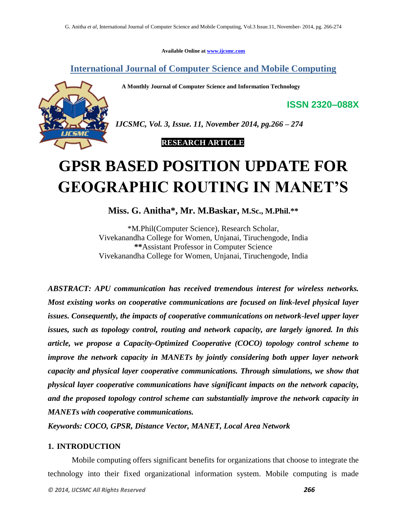**Available Online at [www.ijcsmc.com](http://www.ijcsmc.com/)**

**International Journal of Computer Science and Mobile Computing**

 **A Monthly Journal of Computer Science and Information Technology**

**ISSN 2320–088X**



*IJCSMC, Vol. 3, Issue. 11, November 2014, pg.266 – 274*

 **RESEARCH ARTICLE**

# **GPSR BASED POSITION UPDATE FOR GEOGRAPHIC ROUTING IN MANET'S**

**Miss. G. Anitha\* , Mr. M.Baskar, M.Sc., M.Phil.\*\***

\*M.Phil(Computer Science), Research Scholar, Vivekanandha College for Women, Unjanai, Tiruchengode, India **\*\***Assistant Professor in Computer Science Vivekanandha College for Women, Unjanai, Tiruchengode, India

*ABSTRACT: APU communication has received tremendous interest for wireless networks. Most existing works on cooperative communications are focused on link-level physical layer issues. Consequently, the impacts of cooperative communications on network-level upper layer issues, such as topology control, routing and network capacity, are largely ignored. In this article, we propose a Capacity-Optimized Cooperative (COCO) topology control scheme to improve the network capacity in MANETs by jointly considering both upper layer network capacity and physical layer cooperative communications. Through simulations, we show that physical layer cooperative communications have significant impacts on the network capacity, and the proposed topology control scheme can substantially improve the network capacity in MANETs with cooperative communications.*

*Keywords: COCO, GPSR, Distance Vector, MANET, Local Area Network*

## **1. INTRODUCTION**

Mobile computing offers significant benefits for organizations that choose to integrate the technology into their fixed organizational information system. Mobile computing is made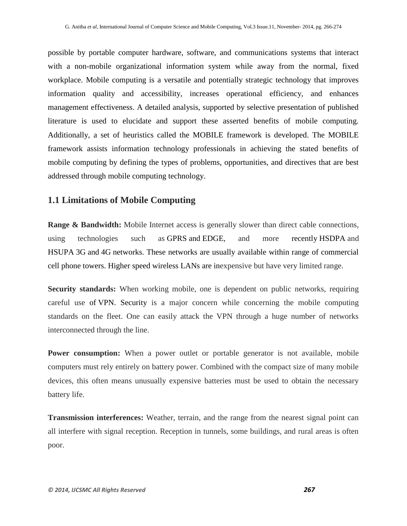possible by portable computer hardware, software, and communications systems that interact with a non-mobile organizational information system while away from the normal, fixed workplace. Mobile computing is a versatile and potentially strategic technology that improves information quality and accessibility, increases operational efficiency, and enhances management effectiveness. A detailed analysis, supported by selective presentation of published literature is used to elucidate and support these asserted benefits of mobile computing. Additionally, a set of heuristics called the MOBILE framework is developed. The MOBILE framework assists information technology professionals in achieving the stated benefits of mobile computing by defining the types of problems, opportunities, and directives that are best addressed through mobile computing technology.

# **1.1 Limitations of Mobile Computing**

**Range & Bandwidth:** Mobile Internet access is generally slower than direct cable connections, using technologies such as [GPRS](http://en.wikipedia.org/wiki/GPRS) and [EDGE,](http://en.wikipedia.org/wiki/EDGE) and more recently [HSDPA](http://en.wikipedia.org/wiki/HSDPA) and [HSUPA](http://en.wikipedia.org/wiki/HSUPA) [3G](http://en.wikipedia.org/wiki/3G) and [4G](http://en.wikipedia.org/wiki/4G) networks. These networks are usually available within range of commercial cell phone towers. Higher speed [wireless LANs](http://en.wikipedia.org/wiki/Wireless_LAN) are inexpensive but have very limited range.

**Security standards:** When working mobile, one is dependent on public networks, requiring careful use of [VPN.](http://en.wikipedia.org/wiki/Virtual_private_networks) Security is a major concern while concerning the mobile computing standards on the fleet. One can easily attack the VPN through a huge number of networks interconnected through the line.

**Power consumption:** When a power outlet or portable generator is not available, mobile computers must rely entirely on battery power. Combined with the compact size of many mobile devices, this often means unusually expensive batteries must be used to obtain the necessary battery life.

**Transmission interferences:** Weather, terrain, and the range from the nearest signal point can all interfere with signal reception. Reception in tunnels, some buildings, and rural areas is often poor.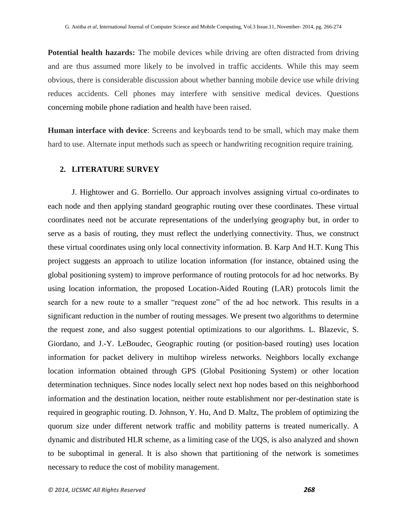**Potential health hazards:** The mobile devices while driving are often distracted from driving and are thus assumed more likely to be involved in traffic accidents. While this may seem obvious, there is considerable discussion about whether banning mobile device use while driving reduces accidents. Cell phones may interfere with sensitive medical devices. Questions concerning [mobile phone radiation and health](http://en.wikipedia.org/wiki/Mobile_phone_radiation_and_health) have been raised.

**Human interface with device**: Screens and keyboards tend to be small, which may make them hard to use. Alternate input methods such as speech or handwriting recognition require training.

#### **2. LITERATURE SURVEY**

J. Hightower and G. Borriello. Our approach involves assigning virtual co-ordinates to each node and then applying standard geographic routing over these coordinates. These virtual coordinates need not be accurate representations of the underlying geography but, in order to serve as a basis of routing, they must reflect the underlying connectivity. Thus, we construct these virtual coordinates using only local connectivity information. B. Karp And H.T. Kung This project suggests an approach to utilize location information (for instance, obtained using the global positioning system) to improve performance of routing protocols for ad hoc networks. By using location information, the proposed Location-Aided Routing (LAR) protocols limit the search for a new route to a smaller "request zone" of the ad hoc network. This results in a significant reduction in the number of routing messages. We present two algorithms to determine the request zone, and also suggest potential optimizations to our algorithms. L. Blazevic, S. Giordano, and J.-Y. LeBoudec, Geographic routing (or position-based routing) uses location information for packet delivery in multihop wireless networks. Neighbors locally exchange location information obtained through GPS (Global Positioning System) or other location determination techniques. Since nodes locally select next hop nodes based on this neighborhood information and the destination location, neither route establishment nor per-destination state is required in geographic routing. D. Johnson, Y. Hu, And D. Maltz, The problem of optimizing the quorum size under different network traffic and mobility patterns is treated numerically. A dynamic and distributed HLR scheme, as a limiting case of the UQS, is also analyzed and shown to be suboptimal in general. It is also shown that partitioning of the network is sometimes necessary to reduce the cost of mobility management.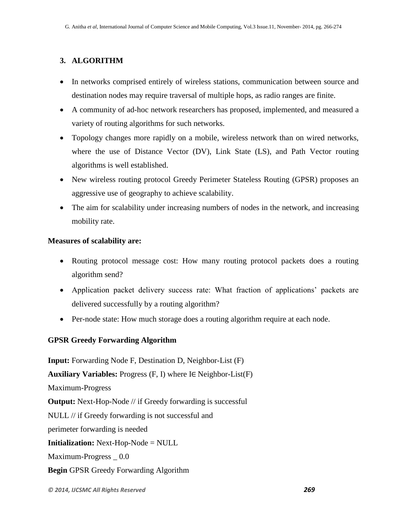# **3. ALGORITHM**

- In networks comprised entirely of wireless stations, communication between source and destination nodes may require traversal of multiple hops, as radio ranges are finite.
- A community of ad-hoc network researchers has proposed, implemented, and measured a variety of routing algorithms for such networks.
- Topology changes more rapidly on a mobile, wireless network than on wired networks, where the use of Distance Vector (DV), Link State (LS), and Path Vector routing algorithms is well established.
- New wireless routing protocol Greedy Perimeter Stateless Routing (GPSR) proposes an aggressive use of geography to achieve scalability.
- The aim for scalability under increasing numbers of nodes in the network, and increasing mobility rate.

## **Measures of scalability are:**

- Routing protocol message cost: How many routing protocol packets does a routing algorithm send?
- Application packet delivery success rate: What fraction of applications' packets are delivered successfully by a routing algorithm?
- Per-node state: How much storage does a routing algorithm require at each node.

## **GPSR Greedy Forwarding Algorithm**

**Input:** Forwarding Node F, Destination D, Neighbor-List (F) **Auxiliary Variables:** Progress (F, I) where I∈ Neighbor-List(F) Maximum-Progress **Output:** Next-Hop-Node // if Greedy forwarding is successful NULL // if Greedy forwarding is not successful and perimeter forwarding is needed **Initialization:** Next-Hop-Node = NULL Maximum-Progress \_ 0.0 **Begin** GPSR Greedy Forwarding Algorithm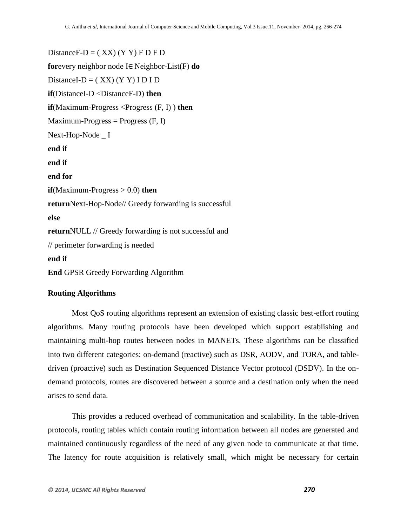Distance  $F-D = (XX) (YY) F D F D$ **for**every neighbor node I∈ Neighbor-List(F) **do** DistanceI-D =  $( XX) (Y Y) I D I D$ **if**(DistanceI-D <DistanceF-D) **then if**(Maximum-Progress <Progress (F, I)) **then**  $Maximum-Progress = Progress (F, I)$ Next-Hop-Node \_ I **end if end if end for if**(Maximum-Progress > 0.0) **then return**Next-Hop-Node// Greedy forwarding is successful **else return**NULL // Greedy forwarding is not successful and // perimeter forwarding is needed **end if End** GPSR Greedy Forwarding Algorithm

### **Routing Algorithms**

 Most QoS routing algorithms represent an extension of existing classic best-effort routing algorithms. Many routing protocols have been developed which support establishing and maintaining multi-hop routes between nodes in MANETs. These algorithms can be classified into two different categories: on-demand (reactive) such as DSR, AODV, and TORA, and tabledriven (proactive) such as Destination Sequenced Distance Vector protocol (DSDV). In the ondemand protocols, routes are discovered between a source and a destination only when the need arises to send data.

This provides a reduced overhead of communication and scalability. In the table-driven protocols, routing tables which contain routing information between all nodes are generated and maintained continuously regardless of the need of any given node to communicate at that time. The latency for route acquisition is relatively small, which might be necessary for certain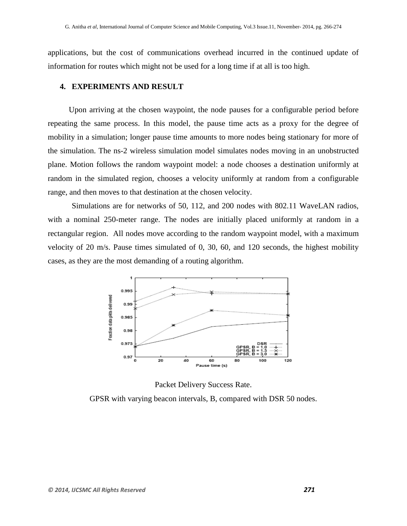applications, but the cost of communications overhead incurred in the continued update of information for routes which might not be used for a long time if at all is too high.

#### **4. EXPERIMENTS AND RESULT**

Upon arriving at the chosen waypoint, the node pauses for a configurable period before repeating the same process. In this model, the pause time acts as a proxy for the degree of mobility in a simulation; longer pause time amounts to more nodes being stationary for more of the simulation. The ns-2 wireless simulation model simulates nodes moving in an unobstructed plane. Motion follows the random waypoint model: a node chooses a destination uniformly at random in the simulated region, chooses a velocity uniformly at random from a configurable range, and then moves to that destination at the chosen velocity.

Simulations are for networks of 50, 112, and 200 nodes with 802.11 WaveLAN radios, with a nominal 250-meter range. The nodes are initially placed uniformly at random in a rectangular region. All nodes move according to the random waypoint model, with a maximum velocity of 20 m/s. Pause times simulated of 0, 30, 60, and 120 seconds, the highest mobility cases, as they are the most demanding of a routing algorithm.



Packet Delivery Success Rate.

GPSR with varying beacon intervals, B, compared with DSR 50 nodes.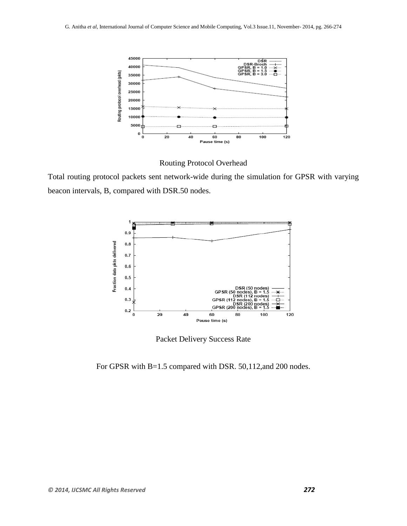

Routing Protocol Overhead

Total routing protocol packets sent network-wide during the simulation for GPSR with varying beacon intervals, B, compared with DSR.50 nodes.



Packet Delivery Success Rate

For GPSR with B=1.5 compared with DSR. 50,112,and 200 nodes.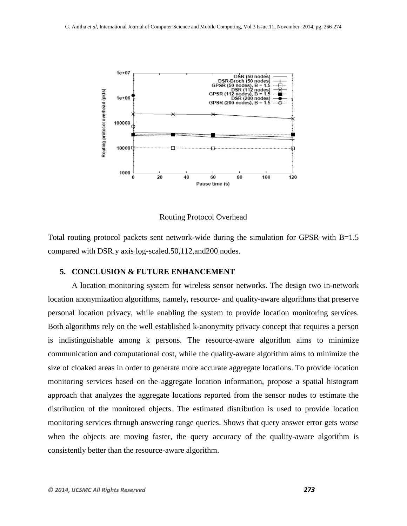

Routing Protocol Overhead

Total routing protocol packets sent network-wide during the simulation for GPSR with B=1.5 compared with DSR.y axis log-scaled.50,112,and200 nodes.

#### **5. CONCLUSION & FUTURE ENHANCEMENT**

A location monitoring system for wireless sensor networks. The design two in-network location anonymization algorithms, namely, resource- and quality-aware algorithms that preserve personal location privacy, while enabling the system to provide location monitoring services. Both algorithms rely on the well established k-anonymity privacy concept that requires a person is indistinguishable among k persons. The resource-aware algorithm aims to minimize communication and computational cost, while the quality-aware algorithm aims to minimize the size of cloaked areas in order to generate more accurate aggregate locations. To provide location monitoring services based on the aggregate location information, propose a spatial histogram approach that analyzes the aggregate locations reported from the sensor nodes to estimate the distribution of the monitored objects. The estimated distribution is used to provide location monitoring services through answering range queries. Shows that query answer error gets worse when the objects are moving faster, the query accuracy of the quality-aware algorithm is consistently better than the resource-aware algorithm.